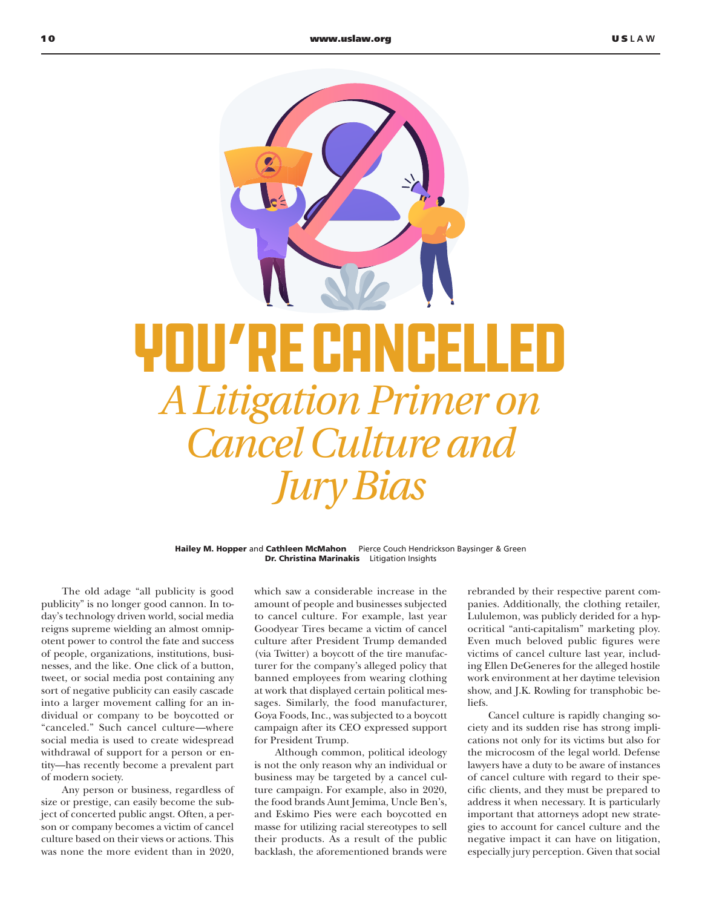## YOU ZRE CANCELL *A Litigation Primer on Cancel Culture and Jury Bias*

Hailey M. Hopper and Cathleen McMahon Pierce Couch Hendrickson Baysinger & Green Dr. Christina Marinakis Litigation Insights

The old adage "all publicity is good publicity" is no longer good cannon. In today's technology driven world, social media reigns supreme wielding an almost omnipotent power to control the fate and success of people, organizations, institutions, businesses, and the like. One click of a button, tweet, or social media post containing any sort of negative publicity can easily cascade into a larger movement calling for an individual or company to be boycotted or "canceled." Such cancel culture—where social media is used to create widespread withdrawal of support for a person or entity—has recently become a prevalent part of modern society.

Any person or business, regardless of size or prestige, can easily become the subject of concerted public angst. Often, a person or company becomes a victim of cancel culture based on their views or actions. This was none the more evident than in 2020,

which saw a considerable increase in the amount of people and businesses subjected to cancel culture. For example, last year Goodyear Tires became a victim of cancel culture after President Trump demanded (via Twitter) a boycott of the tire manufacturer for the company's alleged policy that banned employees from wearing clothing at work that displayed certain political messages. Similarly, the food manufacturer, Goya Foods, Inc., was subjected to a boycott campaign after its CEO expressed support for President Trump.

Although common, political ideology is not the only reason why an individual or business may be targeted by a cancel culture campaign. For example, also in 2020, the food brands Aunt Jemima, Uncle Ben's, and Eskimo Pies were each boycotted en masse for utilizing racial stereotypes to sell their products. As a result of the public backlash, the aforementioned brands were

rebranded by their respective parent companies. Additionally, the clothing retailer, Lululemon, was publicly derided for a hypocritical "anti-capitalism" marketing ploy. Even much beloved public figures were victims of cancel culture last year, including Ellen DeGeneres for the alleged hostile work environment at her daytime television show, and J.K. Rowling for transphobic beliefs.

Cancel culture is rapidly changing society and its sudden rise has strong implications not only for its victims but also for the microcosm of the legal world. Defense lawyers have a duty to be aware of instances of cancel culture with regard to their specific clients, and they must be prepared to address it when necessary. It is particularly important that attorneys adopt new strategies to account for cancel culture and the negative impact it can have on litigation, especially jury perception. Given that social